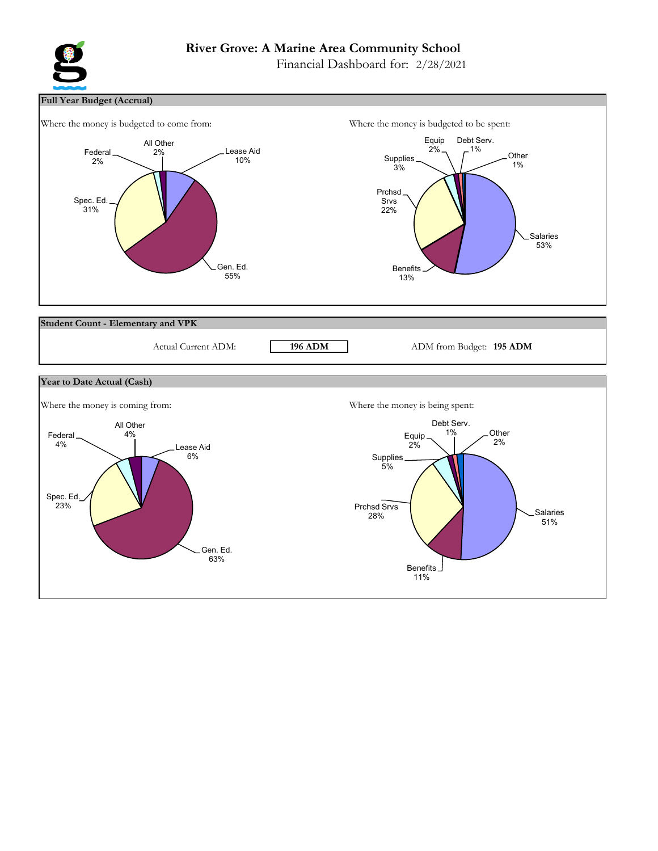# **River Grove: A Marine Area Community School**

Financial Dashboard for: 2/28/2021



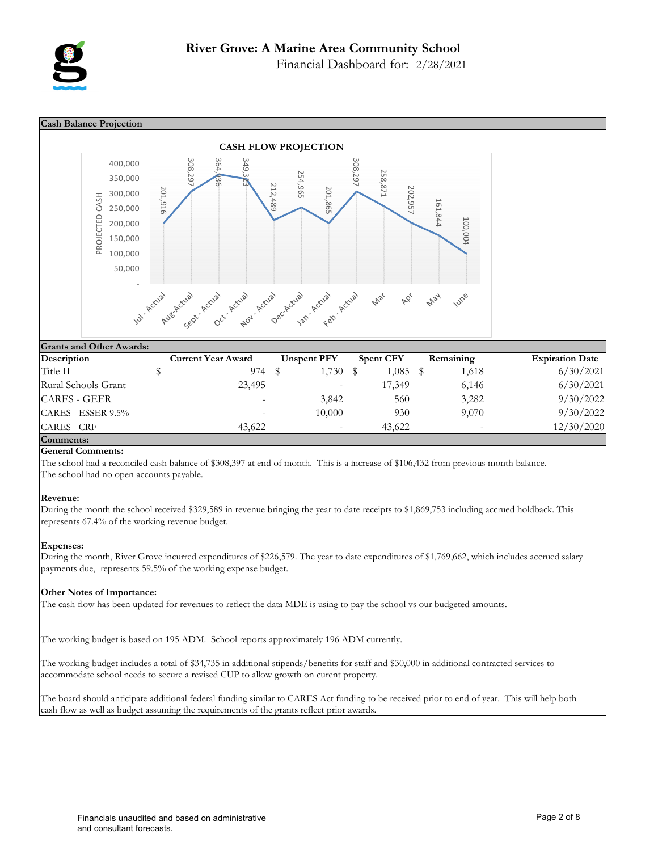

Financial Dashboard for: 2/28/2021



## **General Comments:**

The school had a reconciled cash balance of \$308,397 at end of month. This is a increase of \$106,432 from previous month balance. The school had no open accounts payable.

## **Revenue:**

During the month the school received \$329,589 in revenue bringing the year to date receipts to \$1,869,753 including accrued holdback. This represents 67.4% of the working revenue budget.

## **Expenses:**

During the month, River Grove incurred expenditures of \$226,579. The year to date expenditures of \$1,769,662, which includes accrued salary payments due, represents 59.5% of the working expense budget.

## **Other Notes of Importance:**

The cash flow has been updated for revenues to reflect the data MDE is using to pay the school vs our budgeted amounts.

The working budget is based on 195 ADM. School reports approximately 196 ADM currently.

The working budget includes a total of \$34,735 in additional stipends/benefits for staff and \$30,000 in additional contracted services to accommodate school needs to secure a revised CUP to allow growth on curent property.

The board should anticipate additional federal funding similar to CARES Act funding to be received prior to end of year. This will help both cash flow as well as budget assuming the requirements of the grants reflect prior awards.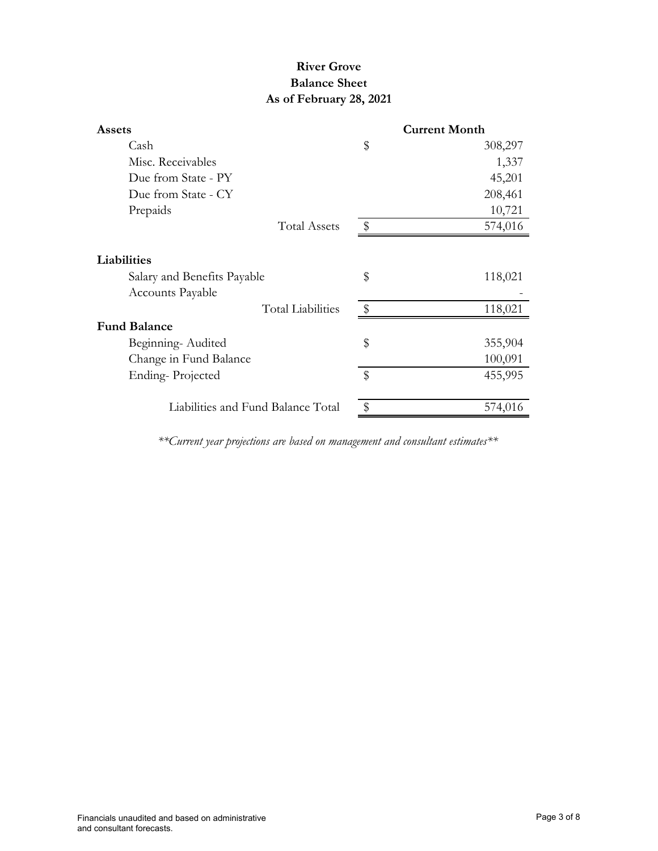# **River Grove Balance Sheet As of February 28, 2021**

| <b>Assets</b>                      |                           | <b>Current Month</b> |
|------------------------------------|---------------------------|----------------------|
| Cash                               | \$                        | 308,297              |
| Misc. Receivables                  |                           | 1,337                |
| Due from State - PY                |                           | 45,201               |
| Due from State - CY                |                           | 208,461              |
| Prepaids                           |                           | 10,721               |
| <b>Total Assets</b>                | $\frac{1}{2}$             | 574,016              |
| Liabilities                        |                           |                      |
| Salary and Benefits Payable        | \$                        | 118,021              |
| <b>Accounts Payable</b>            |                           |                      |
| <b>Total Liabilities</b>           | $\sqrt[6]{2}$             | 118,021              |
| <b>Fund Balance</b>                |                           |                      |
| Beginning-Audited                  | \$                        | 355,904              |
| Change in Fund Balance             |                           | 100,091              |
| Ending-Projected                   | $\boldsymbol{\mathsf{S}}$ | 455,995              |
|                                    |                           |                      |
| Liabilities and Fund Balance Total |                           | 574,016              |

*\*\*Current year projections are based on management and consultant estimates\*\**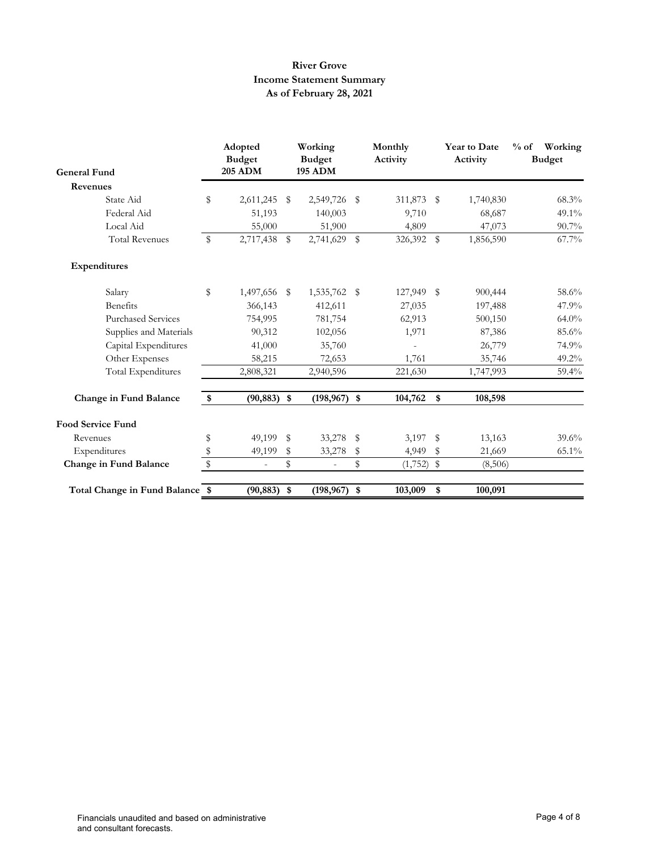## **River Grove Income Statement Summary As of February 28, 2021**

| <b>General Fund</b>             |    | Adopted<br><b>Budget</b><br><b>205 ADM</b> | Working<br><b>Budget</b><br><b>195 ADM</b> |              | Monthly<br>Activity |            | <b>Year to Date</b><br>Activity | $%$ of<br>Working<br><b>Budget</b> |
|---------------------------------|----|--------------------------------------------|--------------------------------------------|--------------|---------------------|------------|---------------------------------|------------------------------------|
| Revenues                        |    |                                            |                                            |              |                     |            |                                 |                                    |
| State Aid                       | \$ | 2,611,245                                  | \$<br>2,549,726                            | S            | 311,873             | \$         | 1,740,830                       | $68.3\%$                           |
| Federal Aid                     |    | 51,193                                     | 140,003                                    |              | 9,710               |            | 68,687                          | 49.1%                              |
| Local Aid                       |    | 55,000                                     | 51,900                                     |              | 4,809               |            | 47,073                          | $90.7\%$                           |
| <b>Total Revenues</b>           | \$ | 2,717,438                                  | \$<br>2,741,629                            | $\mathbb{S}$ | 326,392             | $\sqrt{3}$ | 1,856,590                       | 67.7%                              |
| Expenditures                    |    |                                            |                                            |              |                     |            |                                 |                                    |
| Salary                          | \$ | 1,497,656 \$                               | 1,535,762                                  | - \$         | 127,949 \$          |            | 900,444                         | 58.6%                              |
| Benefits                        |    | 366,143                                    | 412,611                                    |              | 27,035              |            | 197,488                         | 47.9%                              |
| <b>Purchased Services</b>       |    | 754,995                                    | 781,754                                    |              | 62,913              |            | 500,150                         | $64.0\%$                           |
| Supplies and Materials          |    | 90,312                                     | 102,056                                    |              | 1,971               |            | 87,386                          | 85.6%                              |
| Capital Expenditures            |    | 41,000                                     | 35,760                                     |              |                     |            | 26,779                          | 74.9%                              |
| Other Expenses                  |    | 58,215                                     | 72,653                                     |              | 1,761               |            | 35,746                          | $49.2\%$                           |
| <b>Total Expenditures</b>       |    | 2,808,321                                  | 2,940,596                                  |              | 221,630             |            | 1,747,993                       | 59.4%                              |
| <b>Change in Fund Balance</b>   |    | $(90, 883)$ \$                             | $(198, 967)$ \$                            |              | 104,762             | \$         | 108,598                         |                                    |
| <b>Food Service Fund</b>        |    |                                            |                                            |              |                     |            |                                 |                                    |
| Revenues                        | \$ | 49,199 \$                                  | 33,278                                     | - \$         | 3,197               | - \$       | 13,163                          | $39.6\%$                           |
| Expenditures                    | \$ | 49,199                                     | \$<br>33,278                               | \$           | 4,949               | \$         | 21,669                          | 65.1%                              |
| Change in Fund Balance          | \$ | $\overline{\phantom{a}}$                   | \$<br>$\overline{\phantom{a}}$             | \$           | $(1,752)$ \$        |            | (8,506)                         |                                    |
| Total Change in Fund Balance \$ |    | $(90, 883)$ \$                             | $(198, 967)$ \$                            |              | 103,009             | \$         | 100,091                         |                                    |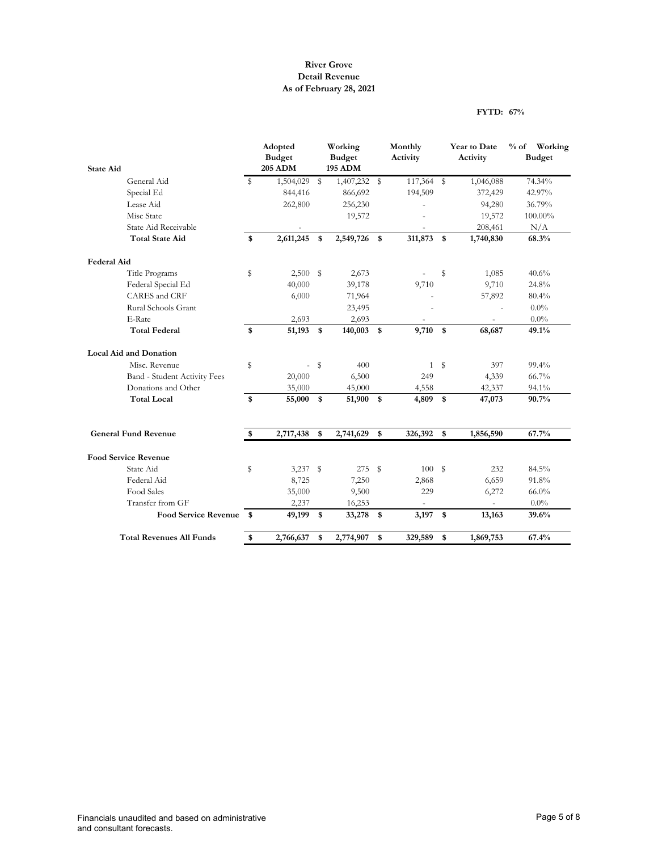## **River Grove Detail Revenue As of February 28, 2021**

### **FYTD: 67%**

|                                 |             | Adopted<br><b>Budget</b> |             | Working<br><b>Budget</b> |      | Monthly<br>Activity |              | Year to Date<br>Activity | $\%$ of<br>Working<br><b>Budget</b> |
|---------------------------------|-------------|--------------------------|-------------|--------------------------|------|---------------------|--------------|--------------------------|-------------------------------------|
| <b>State Aid</b>                |             | <b>205 ADM</b>           |             | <b>195 ADM</b>           |      |                     |              |                          |                                     |
| General Aid                     | $\mathbf S$ | 1,504,029                | $\mathbb S$ | 1,407,232                | \$   | 117,364             | $\mathbb{S}$ | 1,046,088                | 74.34%                              |
| Special Ed                      |             | 844,416                  |             | 866,692                  |      | 194,509             |              | 372,429                  | 42.97%                              |
| Lease Aid                       |             | 262,800                  |             | 256,230                  |      |                     |              | 94,280                   | 36.79%                              |
| Misc State                      |             |                          |             | 19,572                   |      |                     |              | 19,572                   | 100.00%                             |
| State Aid Receivable            |             |                          |             |                          |      |                     |              | 208,461                  | N/A                                 |
| <b>Total State Aid</b>          | \$          | 2,611,245                | \$          | 2,549,726                | \$   | 311,873             | \$           | 1,740,830                | 68.3%                               |
| <b>Federal Aid</b>              |             |                          |             |                          |      |                     |              |                          |                                     |
| Title Programs                  | \$          | 2,500                    | - \$        | 2,673                    |      |                     | S            | 1,085                    | 40.6%                               |
| Federal Special Ed              |             | 40,000                   |             | 39,178                   |      | 9,710               |              | 9,710                    | 24.8%                               |
| CARES and CRF                   |             | 6,000                    |             | 71,964                   |      |                     |              | 57,892                   | 80.4%                               |
| Rural Schools Grant             |             |                          |             | 23,495                   |      |                     |              |                          | $0.0\%$                             |
| E-Rate                          |             | 2,693                    |             | 2,693                    |      |                     |              |                          | $0.0\%$                             |
| <b>Total Federal</b>            | \$          | 51,193                   | \$          | 140,003                  | \$   | 9,710               | \$           | 68,687                   | 49.1%                               |
| <b>Local Aid and Donation</b>   |             |                          |             |                          |      |                     |              |                          |                                     |
| Misc. Revenue                   | \$          | ÷.                       | \$          | 400                      |      | $\mathbf{1}$        | S            | 397                      | 99.4%                               |
| Band - Student Activity Fees    |             | 20,000                   |             | 6,500                    |      | 249                 |              | 4,339                    | 66.7%                               |
| Donations and Other             |             | 35,000                   |             | 45,000                   |      | 4,558               |              | 42,337                   | 94.1%                               |
| <b>Total Local</b>              | \$          | 55,000                   | \$          | 51,900                   | \$   | 4,809               | \$           | 47,073                   | 90.7%                               |
| <b>General Fund Revenue</b>     | \$          | 2,717,438                | \$          | 2,741,629                | \$   | 326,392             | \$           | 1,856,590                | 67.7%                               |
|                                 |             |                          |             |                          |      |                     |              |                          |                                     |
| <b>Food Service Revenue</b>     |             |                          |             |                          |      |                     |              |                          |                                     |
| State Aid                       | \$          | $3,237$ \$               |             | 275                      | - \$ | 100                 | \$           | 232                      | 84.5%                               |
| Federal Aid                     |             | 8,725                    |             | 7,250                    |      | 2,868               |              | 6,659                    | 91.8%                               |
| Food Sales                      |             | 35,000                   |             | 9,500                    |      | 229                 |              | 6,272                    | $66.0\%$                            |
| Transfer from GF                |             | 2,237                    |             | 16,253                   |      |                     |              |                          | $0.0\%$                             |
| <b>Food Service Revenue</b>     | $^{\circ}$  | 49,199                   | \$          | 33,278                   | \$   | 3,197               | \$           | 13,163                   | 39.6%                               |
| <b>Total Revenues All Funds</b> | \$          | 2,766,637                | \$          | 2,774,907                | \$   | 329,589             | \$           | 1,869,753                | 67.4%                               |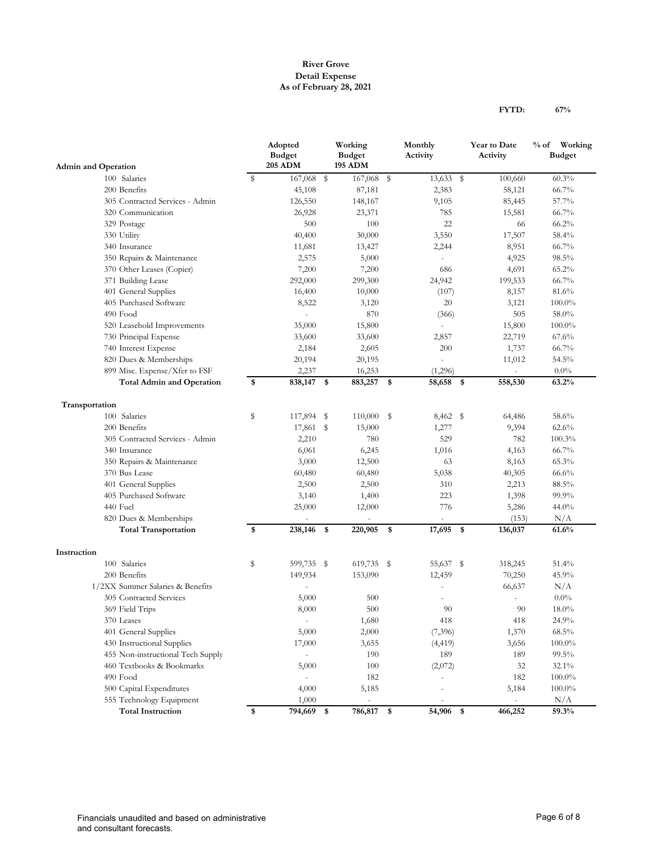## **River Grove Detail Expense As of February 28, 2021**

| <b>Admin and Operation</b>        |             | Adopted<br><b>Budget</b><br><b>205 ADM</b> | Working<br><b>Budget</b><br><b>195 ADM</b> | Monthly<br>Activity |            | Year to Date<br>Activity        | % of Working<br><b>Budget</b> |
|-----------------------------------|-------------|--------------------------------------------|--------------------------------------------|---------------------|------------|---------------------------------|-------------------------------|
|                                   |             |                                            |                                            |                     |            |                                 |                               |
| 100 Salaries                      | $\mathbb S$ | 167,068                                    | \$<br>167,068 \$                           | 13,633 \$           |            | 100,660                         | 60.3%                         |
| 200 Benefits                      |             | 45,108                                     | 87,181                                     | 2,383               |            | 58,121                          | 66.7%                         |
| 305 Contracted Services - Admin   |             | 126,550                                    | 148,167                                    | 9,105               |            | 85,445                          | 57.7%                         |
| 320 Communication                 |             | 26,928                                     | 23,371                                     | 785                 |            | 15,581                          | 66.7%                         |
| 329 Postage                       |             | 500                                        | 100                                        | 22                  |            | 66                              | 66.2%                         |
| 330 Utility                       |             | 40,400                                     | 30,000                                     | 3,550               |            | 17,507                          | 58.4%                         |
| 340 Insurance                     |             | 11,681                                     | 13,427                                     | 2,244               |            | 8,951                           | 66.7%                         |
| 350 Repairs & Maintenance         |             | 2,575                                      | 5,000                                      |                     |            | 4,925                           | 98.5%                         |
| 370 Other Leases (Copier)         |             | 7,200                                      | 7,200                                      | 686                 |            | 4,691                           | 65.2%                         |
| 371 Building Lease                |             | 292,000                                    | 299,300                                    | 24,942              |            | 199,533                         | 66.7%                         |
| 401 General Supplies              |             | 16,400                                     | 10,000                                     | (107)               |            | 8,157                           | 81.6%                         |
| 405 Purchased Software            |             | 8,522                                      | 3,120                                      | 20                  |            | 3,121                           | $100.0\%$                     |
| 490 Food                          |             | ÷,                                         | 870                                        | (366)               |            | 505                             | 58.0%                         |
| 520 Leasehold Improvements        |             | 35,000                                     | 15,800                                     |                     |            | 15,800                          | $100.0\%$                     |
| 730 Principal Expense             |             | 33,600                                     | 33,600                                     | 2,857               |            | 22,719                          | 67.6%                         |
| 740 Interest Expense              |             | 2,184                                      | 2,605                                      | 200                 |            | 1,737                           | 66.7%                         |
| 820 Dues & Memberships            |             | 20,194                                     | 20,195                                     |                     |            | 11,012                          | 54.5%                         |
| 899 Misc. Expense/Xfer to FSF     |             | 2,237                                      | 16,253                                     | (1,296)             |            | $\centering \label{eq:reduced}$ | $0.0\%$                       |
| <b>Total Admin and Operation</b>  | \$          | 838,147                                    | \$<br>883,257                              | \$<br>58,658        | -\$        | 558,530                         | 63.2%                         |
| Transportation                    |             |                                            |                                            |                     |            |                                 |                               |
| 100 Salaries                      | S           | 117,894 \$                                 | $110,000$ \$                               | 8,462 \$            |            | 64,486                          | 58.6%                         |
| 200 Benefits                      |             | 17,861 \$                                  | 15,000                                     | 1,277               |            | 9,394                           | 62.6%                         |
| 305 Contracted Services - Admin   |             | 2,210                                      | 780                                        | 529                 |            | 782                             | 100.3%                        |
| 340 Insurance                     |             | 6,061                                      | 6,245                                      | 1,016               |            | 4,163                           | 66.7%                         |
| 350 Repairs & Maintenance         |             | 3,000                                      | 12,500                                     | 63                  |            | 8,163                           | 65.3%                         |
| 370 Bus Lease                     |             | 60,480                                     | 60,480                                     | 5,038               |            | 40,305                          | 66.6%                         |
| 401 General Supplies              |             | 2,500                                      | 2,500                                      | 310                 |            | 2,213                           | 88.5%                         |
| 405 Purchased Software            |             | 3,140                                      | 1,400                                      | 223                 |            | 1,398                           | 99.9%                         |
| 440 Fuel                          |             | 25,000                                     | 12,000                                     | 776                 |            | 5,286                           | 44.0%                         |
| 820 Dues & Memberships            |             |                                            |                                            |                     |            | (153)                           | N/A                           |
| <b>Total Transportation</b>       | \$          | 238,146                                    | \$<br>220,905                              | \$<br>17,695        | $\sqrt{3}$ | 136,037                         | 61.6%                         |
| Instruction                       |             |                                            |                                            |                     |            |                                 |                               |
| 100 Salaries                      | \$          | 599,735 \$                                 | 619,735 \$                                 | 55,637 \$           |            | 318,245                         | 51.4%                         |
| 200 Benefits                      |             | 149,934                                    | 153,090                                    | 12,459              |            | 70,250                          | 45.9%                         |
| 1/2XX Summer Salaries & Benefits  |             | $\overline{\phantom{a}}$                   |                                            |                     |            | 66,637                          | N/A                           |
| 305 Contracted Services           |             | 5,000                                      | 500                                        |                     |            |                                 | $0.0\%$                       |
| 369 Field Trips                   |             | 8,000                                      | 500                                        | 90                  |            | 90                              | 18.0%                         |
| 370 Leases                        |             | $\overline{\phantom{a}}$                   | 1,680                                      | 418                 |            | 418                             | 24.9%                         |
| 401 General Supplies              |             | 5,000                                      | 2,000                                      | (7,396)             |            | 1,370                           | $68.5\%$                      |
| 430 Instructional Supplies        |             | 17,000                                     | 3,655                                      | (4, 419)            |            | 3,656                           | $100.0\%$                     |
| 455 Non-instructional Tech Supply |             |                                            | 190                                        | 189                 |            | 189                             | 99.5%                         |
| 460 Textbooks & Bookmarks         |             | 5,000                                      | 100                                        | (2,072)             |            | 32                              | 32.1%                         |
| 490 Food                          |             | $\overline{\phantom{a}}$                   | 182                                        |                     |            | 182                             | 100.0%                        |
| 500 Capital Expenditures          |             | 4,000                                      | 5,185                                      |                     |            | 5,184                           | $100.0\%$                     |
| 555 Technology Equipment          |             | 1,000                                      | $\blacksquare$                             | $\sim$              |            | $\overline{\phantom{a}}$        | N/A                           |
| <b>Total Instruction</b>          | \$          | 794,669 \$                                 | 786,817 \$                                 | 54,906 \$           |            | 466,252                         | 59.3%                         |

**FYTD: 67%**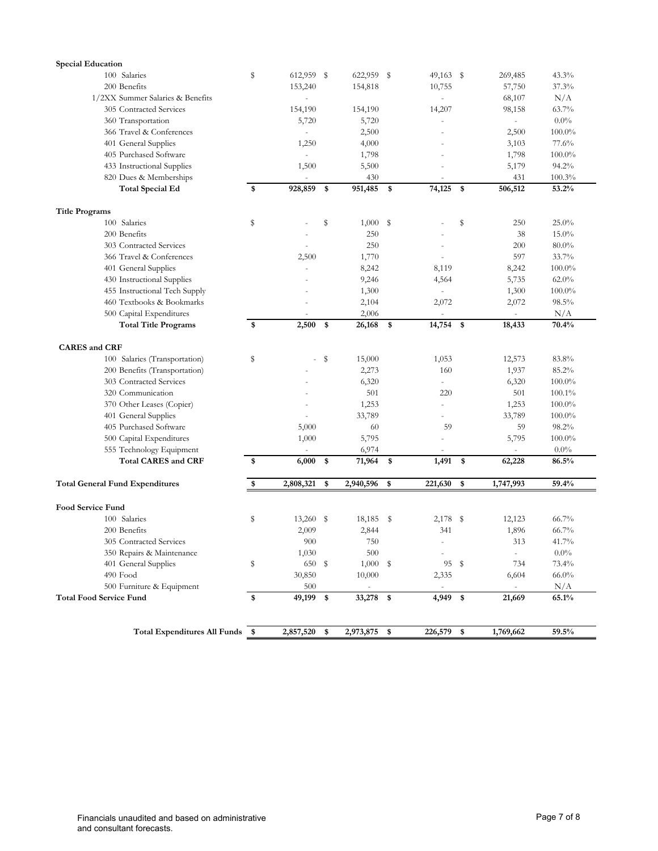| <b>Special Education</b>               |    |                          |                          |                          |     |                             |           |
|----------------------------------------|----|--------------------------|--------------------------|--------------------------|-----|-----------------------------|-----------|
| 100 Salaries                           | S  | 612,959 \$               | 622,959 \$               | $49,163$ \$              |     | 269,485                     | 43.3%     |
| 200 Benefits                           |    | 153,240                  | 154,818                  | 10,755                   |     | 57,750                      | 37.3%     |
| 1/2XX Summer Salaries & Benefits       |    | ÷.                       |                          |                          |     | 68,107                      | N/A       |
| 305 Contracted Services                |    | 154,190                  | 154,190                  | 14,207                   |     | 98,158                      | 63.7%     |
| 360 Transportation                     |    | 5,720                    | 5,720                    |                          |     |                             | $0.0\%$   |
| 366 Travel & Conferences               |    | $\overline{a}$           | 2,500                    |                          |     | 2,500                       | $100.0\%$ |
| 401 General Supplies                   |    | 1,250                    | 4,000                    |                          |     | 3,103                       | 77.6%     |
| 405 Purchased Software                 |    | $\overline{\phantom{a}}$ | 1,798                    |                          |     | 1,798                       | $100.0\%$ |
| 433 Instructional Supplies             |    | 1,500                    | 5,500                    |                          |     | 5,179                       | 94.2%     |
| 820 Dues & Memberships                 |    |                          | 430                      |                          |     | 431                         | 100.3%    |
| <b>Total Special Ed</b>                | \$ | 928,859                  | \$<br>951,485            | \$<br>74,125             | -\$ | 506,512                     | 53.2%     |
| <b>Title Programs</b>                  |    |                          |                          |                          |     |                             |           |
| 100 Salaries                           | \$ |                          | \$<br>1,000              | \$                       | S   | 250                         | 25.0%     |
| 200 Benefits                           |    |                          | 250                      |                          |     | 38                          | 15.0%     |
| 303 Contracted Services                |    |                          | 250                      |                          |     | 200                         | $80.0\%$  |
|                                        |    |                          |                          |                          |     |                             | 33.7%     |
| 366 Travel & Conferences               |    | 2,500                    | 1,770                    |                          |     | 597                         |           |
| 401 General Supplies                   |    |                          | 8,242                    | 8,119                    |     | 8,242                       | $100.0\%$ |
| 430 Instructional Supplies             |    |                          | 9,246                    | 4,564                    |     | 5,735                       | $62.0\%$  |
| 455 Instructional Tech Supply          |    |                          | 1,300                    |                          |     | 1,300                       | $100.0\%$ |
| 460 Textbooks & Bookmarks              |    |                          | 2,104                    | 2,072                    |     | 2,072                       | 98.5%     |
| 500 Capital Expenditures               |    |                          | 2,006                    |                          |     |                             | N/A       |
| <b>Total Title Programs</b>            | \$ | 2,500                    | \$<br>26,168             | \$<br>14,754 \$          |     | 18,433                      | 70.4%     |
| <b>CARES</b> and CRF                   |    |                          |                          |                          |     |                             |           |
| 100 Salaries (Transportation)          | S  |                          | \$<br>15,000             | 1,053                    |     | 12,573                      | 83.8%     |
| 200 Benefits (Transportation)          |    |                          | 2,273                    | 160                      |     | 1,937                       | 85.2%     |
| 303 Contracted Services                |    |                          | 6,320                    | $\bar{a}$                |     | 6,320                       | $100.0\%$ |
| 320 Communication                      |    |                          | 501                      | 220                      |     | 501                         | $100.1\%$ |
| 370 Other Leases (Copier)              |    |                          | 1,253                    |                          |     | 1,253                       | $100.0\%$ |
| 401 General Supplies                   |    |                          | 33,789                   |                          |     | 33,789                      | $100.0\%$ |
| 405 Purchased Software                 |    | 5,000                    | 60                       | 59                       |     | 59                          | 98.2%     |
| 500 Capital Expenditures               |    | 1,000                    | 5,795                    |                          |     | 5,795                       | $100.0\%$ |
| 555 Technology Equipment               |    |                          | 6,974                    |                          |     | ä,                          | $0.0\%$   |
| <b>Total CARES and CRF</b>             | \$ | 6,000                    | \$<br>71,964             | \$<br>1,491              | \$  | 62,228                      | 86.5%     |
| <b>Total General Fund Expenditures</b> | \$ | 2,808,321                | \$<br>2,940,596          | \$<br>221,630            | \$  | 1,747,993                   | 59.4%     |
|                                        |    |                          |                          |                          |     |                             |           |
| <b>Food Service Fund</b>               |    |                          |                          |                          |     |                             |           |
| 100 Salaries                           | s  | $13,260$ \$              | 18,185                   | \$<br>2,178              | -S  | 12,123                      | 66.7%     |
| 200 Benefits                           |    | 2,009                    | 2,844                    | 341                      |     | 1,896                       | 66.7%     |
| 305 Contracted Services                |    | $900\,$                  | 750                      |                          |     | 313                         | $41.7\%$  |
| 350 Repairs & Maintenance              |    | 1,030                    | 500                      | $\overline{\phantom{a}}$ |     | $\overline{\phantom{a}}$    | $0.0\%$   |
| 401 General Supplies                   | \$ | 650 \$                   | $1,000$ \$               | 95 \$                    |     | 734                         | 73.4%     |
| 490 Food                               |    | 30,850                   | 10,000                   | 2,335                    |     | 6,604                       | $66.0\%$  |
| 500 Furniture & Equipment              |    | 500                      | $\overline{\phantom{a}}$ | $\overline{\phantom{a}}$ |     | $\mathcal{L}_{\mathcal{A}}$ | N/A       |
| <b>Total Food Service Fund</b>         | \$ | 49,199 \$                | 33,278 \$                | 4,949 \$                 |     | 21,669                      | 65.1%     |
|                                        |    |                          |                          |                          |     |                             |           |
| Total Expenditures All Funds \$        |    | 2,857,520 \$             | 2,973,875 \$             | 226,579 \$               |     | 1,769,662                   | 59.5%     |